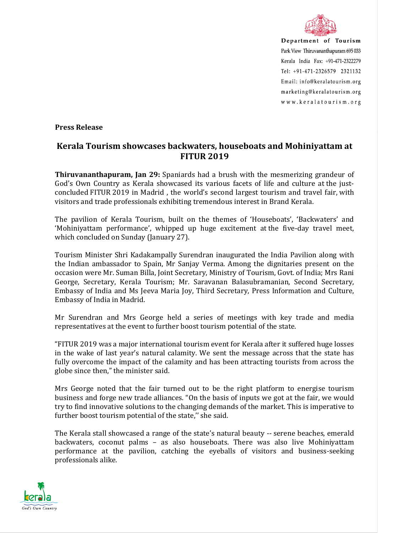

Department of Tourism Park View Thiruvananthapuram 695 033 Kerala India Fax: +91-471-2322279 Tel: +91-471-2326579 2321132 Email: info@keralatourism.org marketing@keralatourism.org www.keralatourism.org

**Press Release** 

## **Kerala Tourism showcases backwaters, houseboats and Mohiniyattam at FITUR 2019**

**Thiruvananthapuram, Jan 29:** Spaniards had a brush with the mesmerizing grandeur of God's Own Country as Kerala showcased its various facets of life and culture at the justconcluded FITUR 2019 in Madrid , the world's second largest tourism and travel fair, with visitors and trade professionals exhibiting tremendous interest in Brand Kerala.

The pavilion of Kerala Tourism, built on the themes of 'Houseboats', 'Backwaters' and 'Mohiniyattam performance', whipped up huge excitement at the five-day travel meet, which concluded on Sunday (January 27).

Tourism Minister Shri Kadakampally Surendran inaugurated the India Pavilion along with the Indian ambassador to Spain, Mr Sanjay Verma. Among the dignitaries present on the occasion were Mr. Suman Billa, Joint Secretary, Ministry of Tourism, Govt. of India; Mrs Rani George, Secretary, Kerala Tourism; Mr. Saravanan Balasubramanian, Second Secretary, Embassy of India and Ms Jeeva Maria Joy, Third Secretary, Press Information and Culture, Embassy of India in Madrid.

Mr Surendran and Mrs George held a series of meetings with key trade and media representatives at the event to further boost tourism potential of the state.

"FITUR 2019 was a major international tourism event for Kerala after it suffered huge losses in the wake of last year's natural calamity. We sent the message across that the state has fully overcome the impact of the calamity and has been attracting tourists from across the globe since then," the minister said.

Mrs George noted that the fair turned out to be the right platform to energise tourism business and forge new trade alliances. "On the basis of inputs we got at the fair, we would try to find innovative solutions to the changing demands of the market. This is imperative to further boost tourism potential of the state," she said.

The Kerala stall showcased a range of the state's natural beauty -- serene beaches, emerald backwaters, coconut palms – as also houseboats. There was also live Mohiniyattam performance at the pavilion, catching the eyeballs of visitors and business-seeking professionals alike.